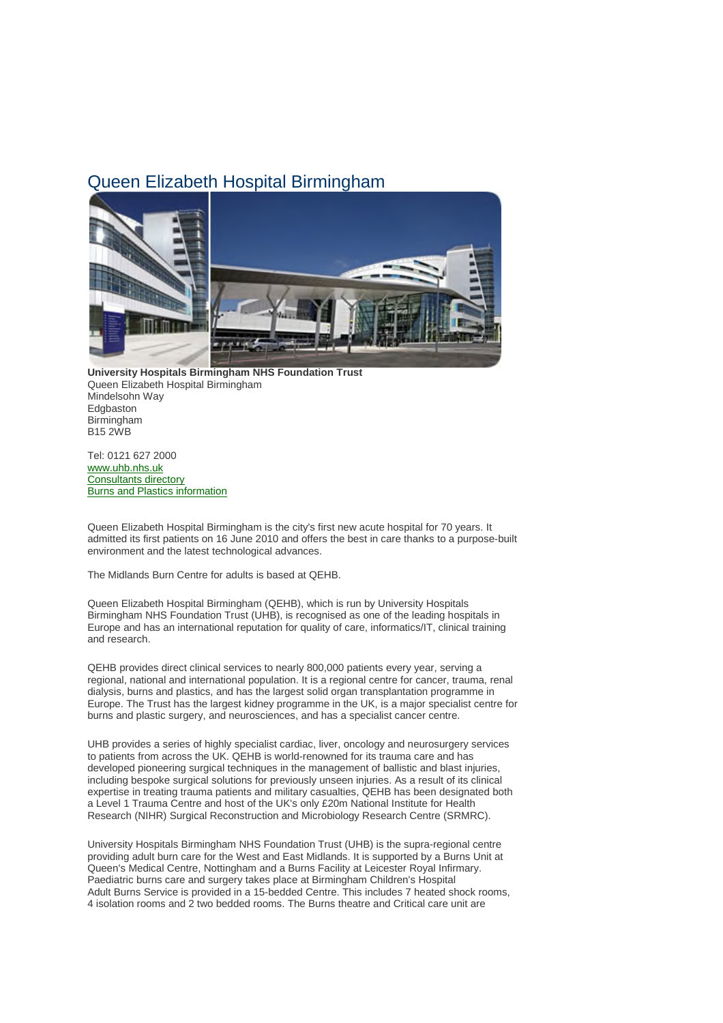## Queen Elizabeth Hospital Birmingham



**University Hospitals Birmingham NHS Foundation Trust** Queen Elizabeth Hospital Birmingham Mindelsohn Way **Edgbaston** Birmingham B15 2WB

Tel: 0121 627 2000 www.uhb.nhs.uk Consultants directory Burns and Plastics information

Queen Elizabeth Hospital Birmingham is the city's first new acute hospital for 70 years. It admitted its first patients on 16 June 2010 and offers the best in care thanks to a purpose-built environment and the latest technological advances.

The Midlands Burn Centre for adults is based at QEHB.

Queen Elizabeth Hospital Birmingham (QEHB), which is run by University Hospitals Birmingham NHS Foundation Trust (UHB), is recognised as one of the leading hospitals in Europe and has an international reputation for quality of care, informatics/IT, clinical training and research.

QEHB provides direct clinical services to nearly 800,000 patients every year, serving a regional, national and international population. It is a regional centre for cancer, trauma, renal dialysis, burns and plastics, and has the largest solid organ transplantation programme in Europe. The Trust has the largest kidney programme in the UK, is a major specialist centre for burns and plastic surgery, and neurosciences, and has a specialist cancer centre.

UHB provides a series of highly specialist cardiac, liver, oncology and neurosurgery services to patients from across the UK. QEHB is world-renowned for its trauma care and has developed pioneering surgical techniques in the management of ballistic and blast injuries, including bespoke surgical solutions for previously unseen injuries. As a result of its clinical expertise in treating trauma patients and military casualties, QEHB has been designated both a Level 1 Trauma Centre and host of the UK's only £20m National Institute for Health Research (NIHR) Surgical Reconstruction and Microbiology Research Centre (SRMRC).

University Hospitals Birmingham NHS Foundation Trust (UHB) is the supra-regional centre providing adult burn care for the West and East Midlands. It is supported by a Burns Unit at Queen's Medical Centre, Nottingham and a Burns Facility at Leicester Royal Infirmary. Paediatric burns care and surgery takes place at Birmingham Children's Hospital Adult Burns Service is provided in a 15-bedded Centre. This includes 7 heated shock rooms, 4 isolation rooms and 2 two bedded rooms. The Burns theatre and Critical care unit are